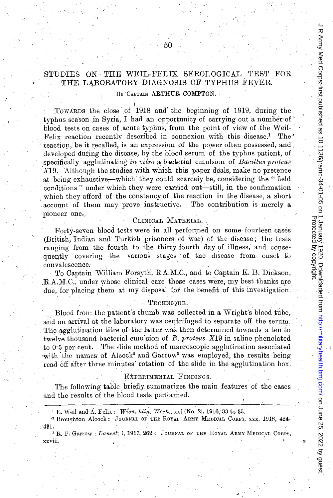## STUDIES ON THE WEIL-FELIX SEROLOGICAL TEST FOR THE LABORATORY DIAGNOSIS OF TYPHUS FEVER.

### By 'CAPTAIN ARTHUR COMPTON. '

I '

.TOWARDS the close of 1918 and' the beginning of 1919, during the typhus season in Syria, I had an opportunity of carrying out a number of ' blood tests on cases of acute typhus, from the point of view of the Weil-Felix reaction recently described in connexion with this disease.<sup>1</sup> The reaction, be it recalled, is an expression of the power often possessed, and, developed during the disease, by the blood serum of the typhus patient, of specifically agglutinating *in vitro* a bacterial emulsion of *Bacillus proteus X19.* Although the studies with which this paper deals, make no pretence at being exhaustive—which they could scarcely be, considering the "field conditions" under which they were carried out-still, in the confirmation which they afford of the constancy of the reaction in the disease, a short account of them may prove instructive. The contribution is merely a pioneer one.,

#### CLINICAL, MATERIAL.

Forty-seven blood tests were in all performed on some fourteen cases (British, Indian and Turkish prisoners of war) of the disease; the tests ranging from the fourth to the thirty-fourth day of illness, and consequently covering the various stages of the disease from onset to convalescence.

De 25, 2022 by Grups: first parms first publishealth.bmj.com/ January 1920. Downloaded from 1 January 1920. Downloaded from 1136/j/jiram/health.bmj.com/ June 25, 2022 by guest R Army Med Corps: first published as 10.1136/jramc-34-01-05 on 1 January 1920. Downloaded from http://militaryhealth.bmj.com/ on June 25, 2022 by guest<br>Protected by compassing the corps: first published as 10.1136/jram Protected by copyright.

To Captain William Forsyth, R.A.M.C., and to Captain K. B. Dickson, ,R.A:M.C., under whose clinical care these cases were, my best thanks are due, for placing them at my disposal for the benefit of this investigation.

#### . TECHNIQUE.

Blood from the patient's thumb was collected in a Wright's blood tube, and on arrival at the laboratory was centrifuged to separate off the serum. The agglutination titre of the latter was then determined towards a ten to twelve thousand bacterial emulsion of *B. proteus* X19 in saline phenolated to  $0.5$  per cent. The slide method of macroscopic agglutination associated with the names of Alcock<sup>2</sup> and Garrow<sup>3</sup> was employed, the results being read off after three minutes' rotation of the slide in the agglutination box.,

#### EXPERIMENTAL FINDINGS.

The following table briefly summarizes the main features of the cases and the results of the blood tests performed.

 $1 \nE.$  Weil and A. Felix: *Wien. klin. Woch.*, xxi (No. 2), 1916, 33 to 35.

<sup>2</sup> Broughton Alcock: JOURNAL OF THE ROYAL ARMY MEDICAL CORPS, XXX, 1918, 424-'431.

<sup>3</sup> R. P. Garrow : *Lancet*; *i*, 1917, 262: JOURNAL OF THE ROYAL ARMY MEDICAL CORPS, xxviii. o

, '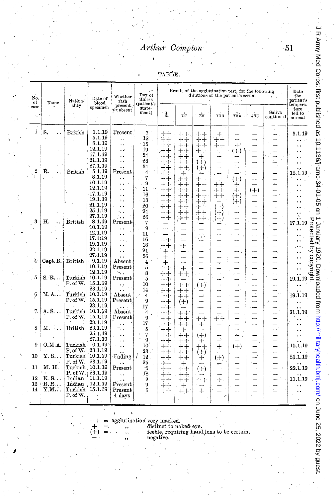# Arthur Compton

тавів.

| No.              |                 | Nation-<br>Name<br>ality | Date of<br>blood<br>specimen | Whether<br>rash<br>present<br>or absent | Day of<br>illness<br>(patient's<br>state-<br>ment) | Result of the agglutination test, for the following<br>dilutions of the patient's serum |                                |                  |                                  |                                                                                                                                                                                                                               |                          |                     | Date<br>the<br>patient's                                                                                                                              |
|------------------|-----------------|--------------------------|------------------------------|-----------------------------------------|----------------------------------------------------|-----------------------------------------------------------------------------------------|--------------------------------|------------------|----------------------------------|-------------------------------------------------------------------------------------------------------------------------------------------------------------------------------------------------------------------------------|--------------------------|---------------------|-------------------------------------------------------------------------------------------------------------------------------------------------------|
| of<br>case       |                 |                          |                              |                                         |                                                    | $\frac{1}{2}$                                                                           | $\frac{1}{10}$                 | $\frac{1}{50}$   | τό σ                             | $\frac{1}{20}$                                                                                                                                                                                                                | $\bar{x} \frac{1}{90}$   | Saliva<br>continued | tempera-<br>ture<br>fell to<br>normal                                                                                                                 |
| 1                | S.<br>. .       | British                  | 1.1.19                       | $\rm{Present}$                          | 7                                                  | $++$                                                                                    | ┽╸┽╸                           | $^+ +$           | $+$                              |                                                                                                                                                                                                                               |                          |                     | 5.1.19                                                                                                                                                |
|                  |                 |                          | 5.1.19                       | ٠.                                      | 12                                                 | $++$                                                                                    | $++$                           | $\dotplus$       | $^+ \mathrm{+}$                  | ┿                                                                                                                                                                                                                             |                          |                     |                                                                                                                                                       |
|                  |                 |                          | 8.1.19                       | ٠.                                      | 15                                                 | $+ +$                                                                                   | $++$                           | ┿<br>┿           | $^{++}$                          | $+$                                                                                                                                                                                                                           |                          |                     |                                                                                                                                                       |
|                  |                 |                          | 12,1.19                      | نه ه                                    | 19                                                 | $+ +$                                                                                   | $\boldsymbol{+}\boldsymbol{+}$ | $++$             | $\hspace{0.1mm} +\hspace{0.1mm}$ | $(+)$                                                                                                                                                                                                                         | ÷                        |                     |                                                                                                                                                       |
|                  |                 |                          | 17.1.19                      | . .                                     | 24                                                 | ┼┼                                                                                      | ┿┿                             | $\! + \!$        | --                               | ---                                                                                                                                                                                                                           |                          |                     |                                                                                                                                                       |
|                  |                 |                          | 21.1.19                      | . .                                     | 28                                                 | ┿<br>┿                                                                                  | $\div$<br>$\div$               | (十)              |                                  |                                                                                                                                                                                                                               |                          |                     |                                                                                                                                                       |
|                  |                 |                          | 27.1.19                      | . .                                     | 34                                                 | $^{+\,+}$                                                                               | $^+$                           | $(+)$            |                                  |                                                                                                                                                                                                                               |                          |                     |                                                                                                                                                       |
| $\boldsymbol{2}$ | R.<br>$\ddotsc$ | $\operatorname{British}$ | 5.1,19                       | Present                                 | $\overline{4}$                                     | $++$                                                                                    | $+$                            |                  |                                  |                                                                                                                                                                                                                               |                          |                     | 12.1.19                                                                                                                                               |
|                  |                 |                          | 8.1.19                       | . .                                     | 7                                                  | $+ +$                                                                                   | 于<br>$^+$                      | ┿┿               | $\mathrm{+}$                     | $^{(+)}$                                                                                                                                                                                                                      |                          |                     |                                                                                                                                                       |
|                  |                 |                          | 10.1.19<br>12.1.19           |                                         | 9                                                  | $^{\mathrm{+}}$                                                                         | ┿┿                             | $^+ +$           | $^+ \pm$                         | ┿                                                                                                                                                                                                                             |                          |                     |                                                                                                                                                       |
|                  |                 |                          | 17.1.19                      | . .                                     | 11                                                 | ᆠᆠ                                                                                      | ┶┿                             | ++               | $++$                             | ᆠ                                                                                                                                                                                                                             | $(+)$                    |                     |                                                                                                                                                       |
|                  |                 |                          | 19.1.19                      | . .                                     | 16                                                 | $++$                                                                                    | $++$                           | ┿<br>┿           | $^+$                             | $(+)$                                                                                                                                                                                                                         |                          |                     |                                                                                                                                                       |
|                  |                 |                          | 21.1.19                      | ٠.                                      | 18                                                 | $\text{+}$<br>$\div$                                                                    | $\div$<br>┿                    | 十十               | $^{+}$                           | $(+)$                                                                                                                                                                                                                         |                          |                     |                                                                                                                                                       |
|                  |                 |                          | 25.1.19                      | . .                                     | 20<br>24                                           | $^+ \mathrm{+}$                                                                         | ┿                              | ᆠᆠ               | $(+)$                            |                                                                                                                                                                                                                               |                          |                     |                                                                                                                                                       |
|                  |                 |                          | 27.1.19                      |                                         | 26                                                 | ┽┽                                                                                      | ┿                              | 十十               | $(+)$                            |                                                                                                                                                                                                                               |                          |                     |                                                                                                                                                       |
| 3                | Η.              | British                  | 8.1.19                       | $\ddot{\phantom{a}}$<br>Present         | 7                                                  | $^{\mathrm{+}}$                                                                         | ;ተ+                            | $^{++}$          | (수)                              | -                                                                                                                                                                                                                             | ψ                        |                     | 17.1.19                                                                                                                                               |
|                  |                 |                          | 10.1.19                      |                                         | 9                                                  |                                                                                         |                                |                  |                                  |                                                                                                                                                                                                                               |                          |                     | 금                                                                                                                                                     |
|                  |                 |                          | 12.1.19                      | A.<br>. .                               | 11                                                 |                                                                                         |                                |                  |                                  |                                                                                                                                                                                                                               |                          |                     | າວອາ                                                                                                                                                  |
|                  |                 |                          | 17.1:19                      | . .                                     | 16                                                 | 十十                                                                                      |                                | π.               | $\overline{\phantom{0}}$         |                                                                                                                                                                                                                               |                          |                     |                                                                                                                                                       |
|                  |                 |                          | 19.1.19                      | $\ddot{\phantom{0}}$                    | 18                                                 | ┿┿                                                                                      | $\div$                         |                  |                                  |                                                                                                                                                                                                                               |                          |                     |                                                                                                                                                       |
|                  |                 |                          | 22.1.19                      | . .                                     | 21                                                 | ┾                                                                                       |                                |                  | —                                | ÷,                                                                                                                                                                                                                            | '−−                      |                     | rea py                                                                                                                                                |
|                  |                 |                          | 27.1.19                      | $\ddot{\phantom{0}}$                    | 26                                                 |                                                                                         |                                |                  |                                  |                                                                                                                                                                                                                               |                          |                     |                                                                                                                                                       |
| $\overline{4}$   | Capt. B.        | <b>British</b>           | 9.1.19                       | Absent                                  | 4                                                  | ┿                                                                                       |                                |                  |                                  |                                                                                                                                                                                                                               |                          |                     | $\begin{array}{c}\n\cdots \\ \cdots \\ \cdots \\ \vdots \\ \vdots \\ \vdots \\ \vdots \\ \vdots \\ \vdots \\ \vdots \\ \vdots \\ \vdots\n\end{array}$ |
|                  |                 |                          | 10.1.19                      | $\rm{Present}$                          | 5                                                  | $\boldsymbol{+}\boldsymbol{+}$                                                          | $^{+}$                         | L.               | ÷,<br>ىب                         | سب                                                                                                                                                                                                                            |                          |                     |                                                                                                                                                       |
|                  |                 |                          | 12.1.19                      | $\ddotsc$                               | 8                                                  | ┿<br>┽                                                                                  | $++$                           |                  |                                  |                                                                                                                                                                                                                               |                          |                     |                                                                                                                                                       |
| 5                | S.R             | Turkish                  | 10.1.19                      | Present                                 | 5                                                  | $+ +$                                                                                   |                                |                  | $\overline{a}$                   |                                                                                                                                                                                                                               |                          |                     |                                                                                                                                                       |
|                  |                 | P. of W.                 | 15.1.19                      |                                         | 10                                                 | $++$                                                                                    | $++$                           | $^{(+)}$         | -                                |                                                                                                                                                                                                                               | --                       |                     |                                                                                                                                                       |
|                  |                 |                          | 23.1.19                      |                                         | 14                                                 | ╫<br>÷                                                                                  | ┿<br>┿                         |                  | ---                              |                                                                                                                                                                                                                               |                          |                     |                                                                                                                                                       |
| 6                | м. а.           | Turkish                  | 10.1.19                      | $A$ bsent                               | 4                                                  | $++$                                                                                    | ┿┿                             |                  | s.                               | and and the second second second second second second second second second second second second second second second second second second second second second second second second second second second second second second |                          |                     | 19.1.19                                                                                                                                               |
|                  |                 | $P_{\cdot}$ of W.        | 15.1.19                      | $\rm{Present}$                          | 9                                                  | ┿┿                                                                                      | $(+)$                          |                  | <b></b>                          |                                                                                                                                                                                                                               |                          |                     |                                                                                                                                                       |
|                  |                 |                          | 23.1.19                      |                                         | 17                                                 | ┿┿                                                                                      |                                |                  |                                  |                                                                                                                                                                                                                               | ----                     |                     |                                                                                                                                                       |
| 7.               | A. S.           | Turkish                  | 10.1.19                      | $A$ bsent                               | 4                                                  | $+ +$                                                                                   | ᆠᆠ                             |                  |                                  |                                                                                                                                                                                                                               | $\overline{\phantom{0}}$ |                     | 21.1.19                                                                                                                                               |
|                  |                 | P. of W.                 | 15.1.19                      | $P$ resent                              | 9                                                  | $\boldsymbol{+}\boldsymbol{+}$                                                          | ┿┿                             | $^+ \mathrm{^+}$ | $+ +$                            |                                                                                                                                                                                                                               |                          |                     |                                                                                                                                                       |
|                  |                 |                          | 23.1.19                      |                                         | 17                                                 | $^{\mathrm{++}}$                                                                        | $++\,$                         | ┿                |                                  |                                                                                                                                                                                                                               | --                       |                     | $\ddot{\phantom{1}}$                                                                                                                                  |
| 8                | м.<br>$\sim$ .  | British                  | 23.1.19                      | . .                                     | 5                                                  | $++$                                                                                    | ┿                              |                  |                                  |                                                                                                                                                                                                                               |                          |                     |                                                                                                                                                       |
|                  |                 |                          | 25.1.19                      | $\ddot{\phantom{a}}$                    | 7                                                  | $^{\mathrm{+}\mathrm{+}}$                                                               | ┽┽                             | $(+)$            |                                  | سند                                                                                                                                                                                                                           |                          |                     | . .                                                                                                                                                   |
| 9                | 0.M.A.          | Turkish                  | 27.1.19<br>10,1,19           | $\ddot{\phantom{a}}$                    | 9                                                  | ┶┷                                                                                      | ┿┿                             | ┿                | $\overline{\phantom{a}}$         |                                                                                                                                                                                                                               |                          |                     |                                                                                                                                                       |
|                  |                 |                          | $^{23.1.19}$                 | . .                                     | 10                                                 | $++$                                                                                    | $^{\mathrm{++}}$               | $^+ \, +$        | $+$                              | $^{(+)}$                                                                                                                                                                                                                      |                          |                     | 15.1.19                                                                                                                                               |
| 10               | Y.S             | P. of W.<br>Turkish      | 10.1.19                      |                                         | 23                                                 | $^+$                                                                                    | ⊹⊹                             | $(+)$            |                                  |                                                                                                                                                                                                                               | ÷.                       |                     |                                                                                                                                                       |
|                  |                 | P. of W.                 | 23.1.19                      | Fading                                  | 12                                                 | $^{\mathrm{++}}$                                                                        | ┿┿                             | ┿                | $^{(+)}$                         |                                                                                                                                                                                                                               |                          |                     | 21.1.19                                                                                                                                               |
| 11               | М. Н.           | Turkish                  | 10.1.19                      | Present                                 | 25<br>-5                                           | ┿                                                                                       | $^+$                           |                  | $\overline{\phantom{a}}$         |                                                                                                                                                                                                                               |                          |                     | 22.1.19                                                                                                                                               |
|                  |                 | P. of W.                 | 23.1.19                      |                                         | 18                                                 | $++$                                                                                    | ╅╈                             | $(+)$            |                                  |                                                                                                                                                                                                                               | —                        |                     |                                                                                                                                                       |
| 12               | K. S.           | Indian                   | 11.1.19                      | . .                                     | 9                                                  | $++$                                                                                    | $^{\mathrm{+}}$                |                  |                                  |                                                                                                                                                                                                                               |                          |                     | 11.1.19                                                                                                                                               |
| 13               | $R, R, \ldots$  | Indian                   | 12.1.19                      | . .<br>$\Present$                       | 9                                                  | $++$<br>$++$                                                                            | キャ                             | ┿┿<br>$\sim$     | $+$                              |                                                                                                                                                                                                                               | --                       |                     |                                                                                                                                                       |
| 14               | $Y, M, \ldots$  | Turkish                  | 15.1.19                      | $\rm{Present}$                          | 6                                                  | $^+ \mathrm{^+}$                                                                        | $+$                            | ┿                |                                  |                                                                                                                                                                                                                               |                          |                     |                                                                                                                                                       |
|                  |                 | P. of W.                 |                              | 4 days                                  |                                                    |                                                                                         | $^{\rm ++}$                    |                  |                                  |                                                                                                                                                                                                                               |                          |                     |                                                                                                                                                       |
|                  |                 |                          |                              |                                         |                                                    |                                                                                         |                                |                  |                                  |                                                                                                                                                                                                                               |                          |                     |                                                                                                                                                       |

agglutination very marked.<br>
,, distinct to naked eye.<br>
,, feeble, requiring hand lens to be certain.

negative.

 $\cdot 51$ 

I R Army Med Corps: first published as 10.1136/jramc-34-01-05 on 1 January 1920. Downloaded from http://militaryhealth.brnj.com/ on June 25, 2022 by guest.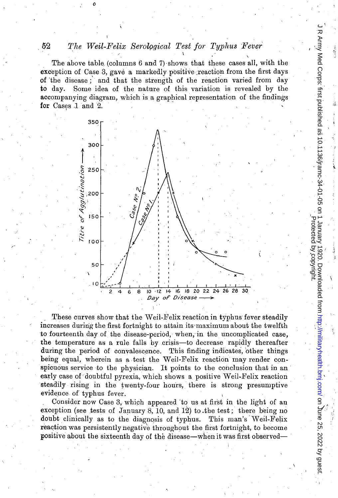#### 52 The Weil-Felix Serological Test for Typhus Fever

The above table (columns 6 and 7) shows that these cases all, with the exception of Case 3, gave a markedly positive reaction from the first days of the disease; and that the strength of the reaction varied from day Some idea of the nature of this variation is revealed by the to day. accompanying diagram, which is a graphical representation of the findings for Cases 1 and 2.



I R Army Med Corps: first published as 10.1136/jramc-34-01-05 on 1 January 1920. Downloaded from http://military/heatth.bmj.com/ on June 25, 2022 by guest.

Protected by copyright.

These curves show that the Weil-Felix reaction in typhus fever steadily increases during the first fortnight to attain its maximum about the twelfth to fourteenth day of the disease-period, when, in the uncomplicated case, the temperature as a rule falls by crisis—to decrease rapidly thereafter during the period of convalescence. This finding indicates, other things being equal, wherein as a test the Weil-Felix reaction may render conspicuous service to the physician. It points to the conclusion that in an early case of doubtful pyrexia, which shows a positive Weil-Felix reaction steadily rising in the twenty-four hours, there is strong presumptive evidence of typhus fever.

Consider now Case 3, which appeared to us at first in the light of an exception (see tests of January 8, 10, and 12) to the test; there being no doubt clinically as to the diagnosis of typhus. This man's Weil-Felix reaction was persistently negative throughout the first fortnight, to become positive about the sixteenth day of the disease—when it was first observed-